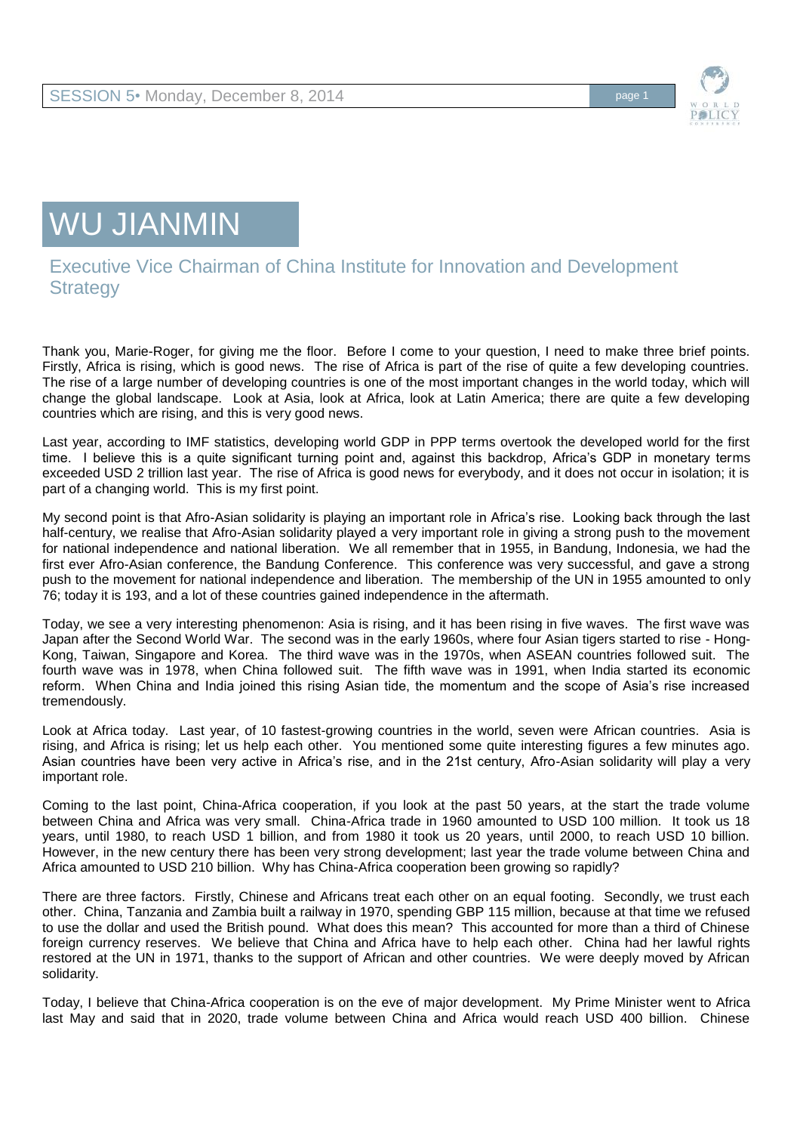

## WU JIANMIN

## Executive Vice Chairman of China Institute for Innovation and Development **Strategy**

Thank you, Marie-Roger, for giving me the floor. Before I come to your question, I need to make three brief points. Firstly, Africa is rising, which is good news. The rise of Africa is part of the rise of quite a few developing countries. The rise of a large number of developing countries is one of the most important changes in the world today, which will change the global landscape. Look at Asia, look at Africa, look at Latin America; there are quite a few developing countries which are rising, and this is very good news.

Last year, according to IMF statistics, developing world GDP in PPP terms overtook the developed world for the first time. I believe this is a quite significant turning point and, against this backdrop, Africa's GDP in monetary terms exceeded USD 2 trillion last year. The rise of Africa is good news for everybody, and it does not occur in isolation; it is part of a changing world. This is my first point.

My second point is that Afro-Asian solidarity is playing an important role in Africa's rise. Looking back through the last half-century, we realise that Afro-Asian solidarity played a very important role in giving a strong push to the movement for national independence and national liberation. We all remember that in 1955, in Bandung, Indonesia, we had the first ever Afro-Asian conference, the Bandung Conference. This conference was very successful, and gave a strong push to the movement for national independence and liberation. The membership of the UN in 1955 amounted to only 76; today it is 193, and a lot of these countries gained independence in the aftermath.

Today, we see a very interesting phenomenon: Asia is rising, and it has been rising in five waves. The first wave was Japan after the Second World War. The second was in the early 1960s, where four Asian tigers started to rise - Hong-Kong, Taiwan, Singapore and Korea. The third wave was in the 1970s, when ASEAN countries followed suit. The fourth wave was in 1978, when China followed suit. The fifth wave was in 1991, when India started its economic reform. When China and India joined this rising Asian tide, the momentum and the scope of Asia's rise increased tremendously.

Look at Africa today. Last year, of 10 fastest-growing countries in the world, seven were African countries. Asia is rising, and Africa is rising; let us help each other. You mentioned some quite interesting figures a few minutes ago. Asian countries have been very active in Africa's rise, and in the 21st century, Afro-Asian solidarity will play a very important role.

Coming to the last point, China-Africa cooperation, if you look at the past 50 years, at the start the trade volume between China and Africa was very small. China-Africa trade in 1960 amounted to USD 100 million. It took us 18 years, until 1980, to reach USD 1 billion, and from 1980 it took us 20 years, until 2000, to reach USD 10 billion. However, in the new century there has been very strong development; last year the trade volume between China and Africa amounted to USD 210 billion. Why has China-Africa cooperation been growing so rapidly?

There are three factors. Firstly, Chinese and Africans treat each other on an equal footing. Secondly, we trust each other. China, Tanzania and Zambia built a railway in 1970, spending GBP 115 million, because at that time we refused to use the dollar and used the British pound. What does this mean? This accounted for more than a third of Chinese foreign currency reserves. We believe that China and Africa have to help each other. China had her lawful rights restored at the UN in 1971, thanks to the support of African and other countries. We were deeply moved by African solidarity.

Today, I believe that China-Africa cooperation is on the eve of major development. My Prime Minister went to Africa last May and said that in 2020, trade volume between China and Africa would reach USD 400 billion. Chinese